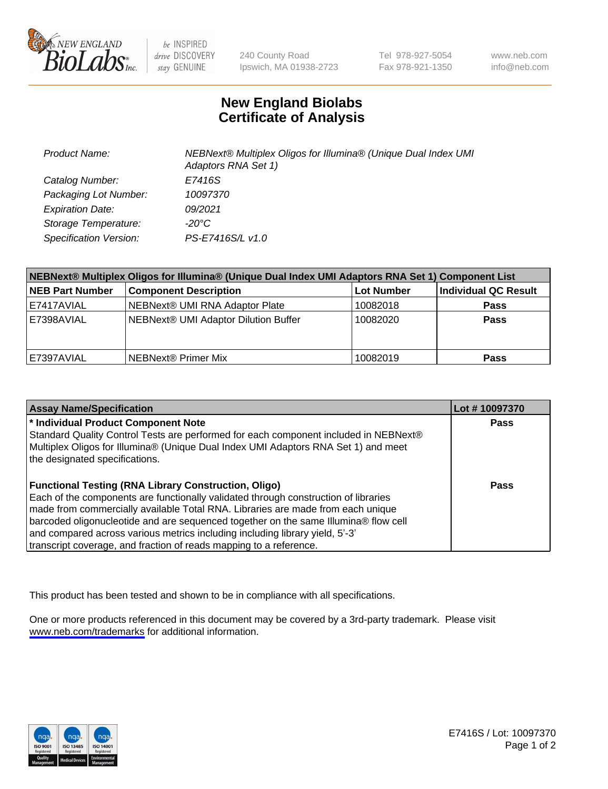

be INSPIRED drive DISCOVERY stay GENUINE

240 County Road Ipswich, MA 01938-2723 Tel 978-927-5054 Fax 978-921-1350

www.neb.com info@neb.com

## **New England Biolabs Certificate of Analysis**

| <b>Product Name:</b>    | NEBNext® Multiplex Oligos for Illumina® (Unique Dual Index UMI<br>Adaptors RNA Set 1) |
|-------------------------|---------------------------------------------------------------------------------------|
| Catalog Number:         | E7416S                                                                                |
| Packaging Lot Number:   | 10097370                                                                              |
| <b>Expiration Date:</b> | 09/2021                                                                               |
| Storage Temperature:    | -20°C                                                                                 |
| Specification Version:  | PS-E7416S/L v1.0                                                                      |

| NEBNext® Multiplex Oligos for Illumina® (Unique Dual Index UMI Adaptors RNA Set 1) Component List |                                      |            |                      |  |
|---------------------------------------------------------------------------------------------------|--------------------------------------|------------|----------------------|--|
| <b>NEB Part Number</b>                                                                            | <b>Component Description</b>         | Lot Number | Individual QC Result |  |
| E7417AVIAL                                                                                        | NEBNext® UMI RNA Adaptor Plate       | 10082018   | <b>Pass</b>          |  |
| E7398AVIAL                                                                                        | NEBNext® UMI Adaptor Dilution Buffer | 10082020   | <b>Pass</b>          |  |
| E7397AVIAL                                                                                        | l NEBNext® Primer Mix                | 10082019   | <b>Pass</b>          |  |

| <b>Assay Name/Specification</b>                                                                                                                                                                                                                                                                                                                                                                                                                                                    | Lot #10097370 |
|------------------------------------------------------------------------------------------------------------------------------------------------------------------------------------------------------------------------------------------------------------------------------------------------------------------------------------------------------------------------------------------------------------------------------------------------------------------------------------|---------------|
| <sup>*</sup> Individual Product Component Note<br>Standard Quality Control Tests are performed for each component included in NEBNext®<br>Multiplex Oligos for Illumina® (Unique Dual Index UMI Adaptors RNA Set 1) and meet                                                                                                                                                                                                                                                       | <b>Pass</b>   |
| the designated specifications.                                                                                                                                                                                                                                                                                                                                                                                                                                                     |               |
| <b>Functional Testing (RNA Library Construction, Oligo)</b><br>Each of the components are functionally validated through construction of libraries<br>made from commercially available Total RNA. Libraries are made from each unique<br>barcoded oligonucleotide and are sequenced together on the same Illumina® flow cell<br>and compared across various metrics including including library yield, 5'-3'<br>transcript coverage, and fraction of reads mapping to a reference. | Pass          |

This product has been tested and shown to be in compliance with all specifications.

One or more products referenced in this document may be covered by a 3rd-party trademark. Please visit <www.neb.com/trademarks>for additional information.